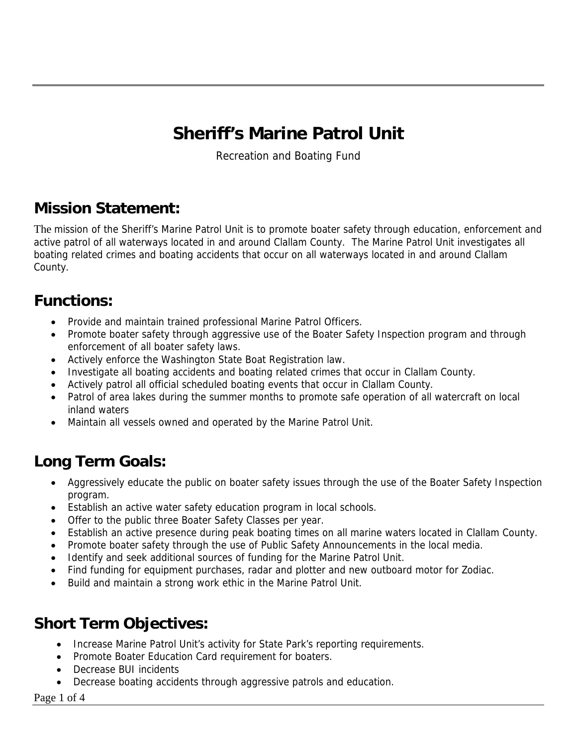# **Sheriff's Marine Patrol Unit**

Recreation and Boating Fund

### **Mission Statement:**

The mission of the Sheriff's Marine Patrol Unit is to promote boater safety through education, enforcement and active patrol of all waterways located in and around Clallam County. The Marine Patrol Unit investigates all boating related crimes and boating accidents that occur on all waterways located in and around Clallam County.

#### **Functions:**

- Provide and maintain trained professional Marine Patrol Officers.
- Promote boater safety through aggressive use of the Boater Safety Inspection program and through enforcement of all boater safety laws.
- Actively enforce the Washington State Boat Registration law.
- Investigate all boating accidents and boating related crimes that occur in Clallam County.
- Actively patrol all official scheduled boating events that occur in Clallam County.
- Patrol of area lakes during the summer months to promote safe operation of all watercraft on local inland waters
- Maintain all vessels owned and operated by the Marine Patrol Unit.

# **Long Term Goals:**

- Aggressively educate the public on boater safety issues through the use of the Boater Safety Inspection program.
- Establish an active water safety education program in local schools.
- Offer to the public three Boater Safety Classes per year.
- Establish an active presence during peak boating times on all marine waters located in Clallam County.
- Promote boater safety through the use of Public Safety Announcements in the local media.
- Identify and seek additional sources of funding for the Marine Patrol Unit.
- Find funding for equipment purchases, radar and plotter and new outboard motor for Zodiac.
- Build and maintain a strong work ethic in the Marine Patrol Unit.

## **Short Term Objectives:**

- Increase Marine Patrol Unit's activity for State Park's reporting requirements.
- Promote Boater Education Card requirement for boaters.
- Decrease BUI incidents
- Decrease boating accidents through aggressive patrols and education.

#### Page 1 of 4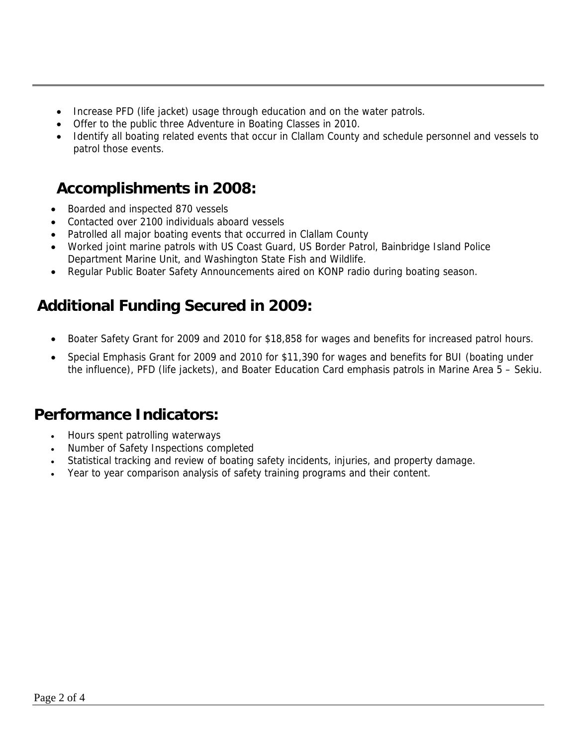- Increase PFD (life jacket) usage through education and on the water patrols.
- Offer to the public three Adventure in Boating Classes in 2010.
- Identify all boating related events that occur in Clallam County and schedule personnel and vessels to patrol those events.

#### **Accomplishments in 2008:**

- Boarded and inspected 870 vessels
- Contacted over 2100 individuals aboard vessels
- Patrolled all major boating events that occurred in Clallam County
- Worked joint marine patrols with US Coast Guard, US Border Patrol, Bainbridge Island Police Department Marine Unit, and Washington State Fish and Wildlife.
- Regular Public Boater Safety Announcements aired on KONP radio during boating season.

### **Additional Funding Secured in 2009:**

- Boater Safety Grant for 2009 and 2010 for \$18,858 for wages and benefits for increased patrol hours.
- Special Emphasis Grant for 2009 and 2010 for \$11,390 for wages and benefits for BUI (boating under the influence), PFD (life jackets), and Boater Education Card emphasis patrols in Marine Area 5 – Sekiu.

#### **Performance Indicators:**

- Hours spent patrolling waterways
- Number of Safety Inspections completed
- Statistical tracking and review of boating safety incidents, injuries, and property damage.
- Year to year comparison analysis of safety training programs and their content.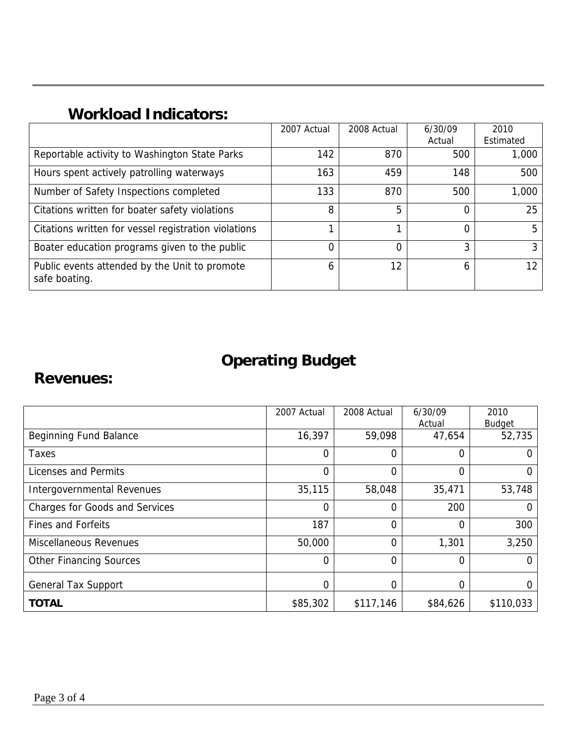## **Workload Indicators:**

|                                                                | 2007 Actual | 2008 Actual | 6/30/09 | 2010            |
|----------------------------------------------------------------|-------------|-------------|---------|-----------------|
|                                                                |             |             | Actual  | Estimated       |
| Reportable activity to Washington State Parks                  | 142         | 870         | 500     | 1,000           |
| Hours spent actively patrolling waterways                      | 163         | 459         | 148     | 500             |
| Number of Safety Inspections completed                         | 133         | 870         | 500     | 1,000           |
| Citations written for boater safety violations                 | 8           | 5           |         | 25              |
| Citations written for vessel registration violations           |             |             | 0       | 5               |
| Boater education programs given to the public                  | 0           | 0           | 3       | 3               |
| Public events attended by the Unit to promote<br>safe boating. | 6           | 12          | 6       | 12 <sup>2</sup> |

# **Operating Budget**

#### **Revenues:**

|                                       | 2007 Actual    | 2008 Actual    | 6/30/09  | 2010           |
|---------------------------------------|----------------|----------------|----------|----------------|
|                                       |                |                | Actual   | Budget         |
| <b>Beginning Fund Balance</b>         | 16,397         | 59,098         | 47,654   | 52,735         |
| <b>Taxes</b>                          | 0              | $\Omega$       | 0        | 0              |
| Licenses and Permits                  | $\mathbf{0}$   | $\overline{0}$ | 0        | 0              |
| Intergovernmental Revenues            | 35,115         | 58,048         | 35,471   | 53,748         |
| <b>Charges for Goods and Services</b> | 0              | $\overline{0}$ | 200      | $\overline{0}$ |
| <b>Fines and Forfeits</b>             | 187            | $\overline{0}$ | 0        | 300            |
| <b>Miscellaneous Revenues</b>         | 50,000         | $\overline{0}$ | 1,301    | 3,250          |
| <b>Other Financing Sources</b>        | $\overline{0}$ | $\overline{0}$ | 0        | $\Omega$       |
| <b>General Tax Support</b>            | 0              | $\mathbf{0}$   | 0        | $\Omega$       |
| <b>TOTAL</b>                          | \$85,302       | \$117,146      | \$84,626 | \$110,033      |